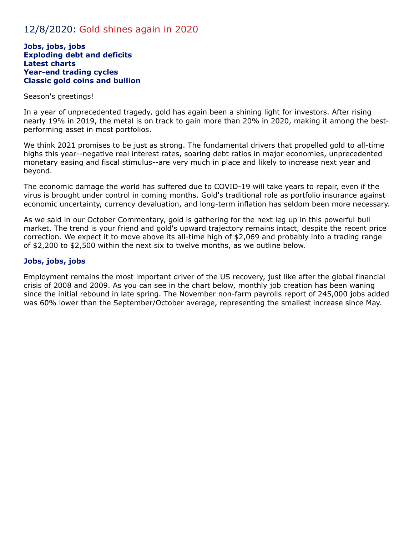# 12/8/2020: Gold shines again in 2020

#### **Jobs, jobs, jobs Exploding debt and deficits Latest charts Year-end trading cycles Classic gold coins and bullion**

#### Season's greetings!

In a year of unprecedented tragedy, gold has again been a shining light for investors. After rising nearly 19% in 2019, the metal is on track to gain more than 20% in 2020, making it among the bestperforming asset in most portfolios.

We think 2021 promises to be just as strong. The fundamental drivers that propelled gold to all-time highs this year--negative real interest rates, soaring debt ratios in major economies, unprecedented monetary easing and fiscal stimulus--are very much in place and likely to increase next year and beyond.

The economic damage the world has suffered due to COVID-19 will take years to repair, even if the virus is brought under control in coming months. Gold's traditional role as portfolio insurance against economic uncertainty, currency devaluation, and long-term inflation has seldom been more necessary.

As we said in our October Commentary, gold is gathering for the next leg up in this powerful bull market. The trend is your friend and gold's upward trajectory remains intact, despite the recent price correction. We expect it to move above its all-time high of \$2,069 and probably into a trading range of \$2,200 to \$2,500 within the next six to twelve months, as we outline below.

#### **Jobs, jobs, jobs**

Employment remains the most important driver of the US recovery, just like after the global financial crisis of 2008 and 2009. As you can see in the chart below, monthly job creation has been waning since the initial rebound in late spring. The November non-farm payrolls report of 245,000 jobs added was 60% lower than the September/October average, representing the smallest increase since May.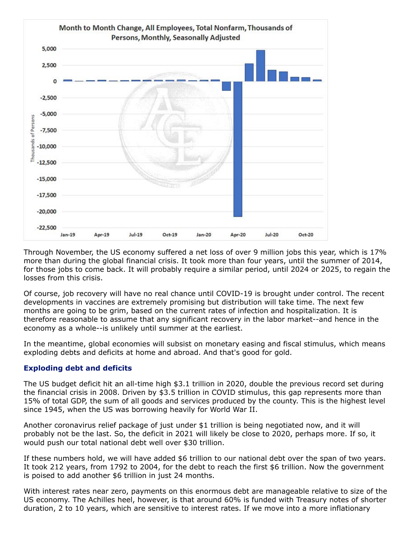

Through November, the US economy suffered a net loss of over 9 million jobs this year, which is 17% more than during the global financial crisis. It took more than four years, until the summer of 2014, for those jobs to come back. It will probably require a similar period, until 2024 or 2025, to regain the losses from this crisis.

Of course, job recovery will have no real chance until COVID-19 is brought under control. The recent developments in vaccines are extremely promising but distribution will take time. The next few months are going to be grim, based on the current rates of infection and hospitalization. It is therefore reasonable to assume that any significant recovery in the labor market--and hence in the economy as a whole--is unlikely until summer at the earliest.

In the meantime, global economies will subsist on monetary easing and fiscal stimulus, which means exploding debts and deficits at home and abroad. And that's good for gold.

# **Exploding debt and deficits**

The US budget deficit hit an all-time high \$3.1 trillion in 2020, double the previous record set during the financial crisis in 2008. Driven by \$3.5 trillion in COVID stimulus, this gap represents more than 15% of total GDP, the sum of all goods and services produced by the county. This is the highest level since 1945, when the US was borrowing heavily for World War II.

Another coronavirus relief package of just under \$1 trillion is being negotiated now, and it will probably not be the last. So, the deficit in 2021 will likely be close to 2020, perhaps more. If so, it would push our total national debt well over \$30 trillion.

If these numbers hold, we will have added \$6 trillion to our national debt over the span of two years. It took 212 years, from 1792 to 2004, for the debt to reach the first \$6 trillion. Now the government is poised to add another \$6 trillion in just 24 months.

With interest rates near zero, payments on this enormous debt are manageable relative to size of the US economy. The Achilles heel, however, is that around 60% is funded with Treasury notes of shorter duration, 2 to 10 years, which are sensitive to interest rates. If we move into a more inflationary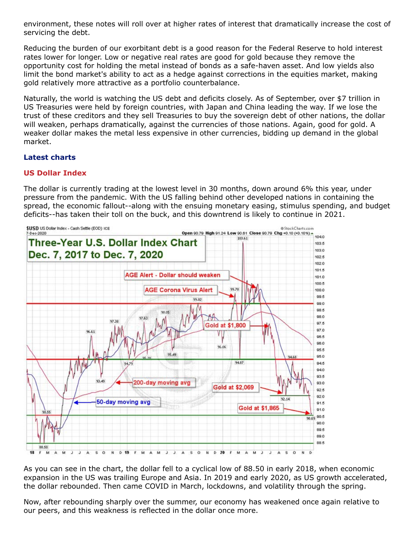environment, these notes will roll over at higher rates of interest that dramatically increase the cost of servicing the debt.

Reducing the burden of our exorbitant debt is a good reason for the Federal Reserve to hold interest rates lower for longer. Low or negative real rates are good for gold because they remove the opportunity cost for holding the metal instead of bonds as a safe-haven asset. And low yields also limit the bond market's ability to act as a hedge against corrections in the equities market, making gold relatively more attractive as a portfolio counterbalance.

Naturally, the world is watching the US debt and deficits closely. As of September, over \$7 trillion in US Treasuries were held by foreign countries, with Japan and China leading the way. If we lose the trust of these creditors and they sell Treasuries to buy the sovereign debt of other nations, the dollar will weaken, perhaps dramatically, against the currencies of those nations. Again, good for gold. A weaker dollar makes the metal less expensive in other currencies, bidding up demand in the global market.

## **Latest charts**

## **US Dollar Index**

The dollar is currently trading at the lowest level in 30 months, down around 6% this year, under pressure from the pandemic. With the US falling behind other developed nations in containing the spread, the economic fallout--along with the ensuing monetary easing, stimulus spending, and budget deficits--has taken their toll on the buck, and this downtrend is likely to continue in 2021.



As you can see in the chart, the dollar fell to a cyclical low of 88.50 in early 2018, when economic expansion in the US was trailing Europe and Asia. In 2019 and early 2020, as US growth accelerated, the dollar rebounded. Then came COVID in March, lockdowns, and volatility through the spring.

Now, after rebounding sharply over the summer, our economy has weakened once again relative to our peers, and this weakness is reflected in the dollar once more.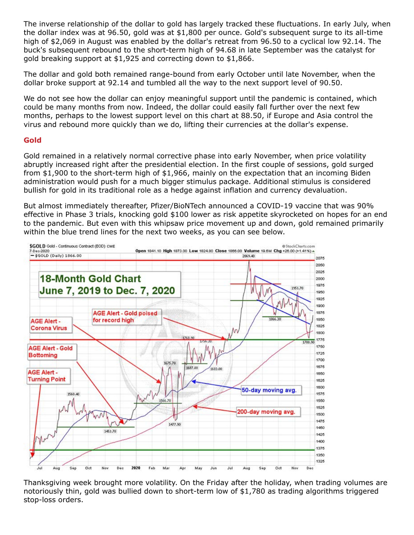The inverse relationship of the dollar to gold has largely tracked these fluctuations. In early July, when the dollar index was at 96.50, gold was at \$1,800 per ounce. Gold's subsequent surge to its all-time high of \$2,069 in August was enabled by the dollar's retreat from 96.50 to a cyclical low 92.14. The buck's subsequent rebound to the short-term high of 94.68 in late September was the catalyst for gold breaking support at \$1,925 and correcting down to \$1,866.

The dollar and gold both remained range-bound from early October until late November, when the dollar broke support at 92.14 and tumbled all the way to the next support level of 90.50.

We do not see how the dollar can enjoy meaningful support until the pandemic is contained, which could be many months from now. Indeed, the dollar could easily fall further over the next few months, perhaps to the lowest support level on this chart at 88.50, if Europe and Asia control the virus and rebound more quickly than we do, lifting their currencies at the dollar's expense.

#### **Gold**

Gold remained in a relatively normal corrective phase into early November, when price volatility abruptly increased right after the presidential election. In the first couple of sessions, gold surged from \$1,900 to the short-term high of \$1,966, mainly on the expectation that an incoming Biden administration would push for a much bigger stimulus package. Additional stimulus is considered bullish for gold in its traditional role as a hedge against inflation and currency devaluation.

But almost immediately thereafter, Pfizer/BioNTech announced a COVID-19 vaccine that was 90% effective in Phase 3 trials, knocking gold \$100 lower as risk appetite skyrocketed on hopes for an end to the pandemic. But even with this whipsaw price movement up and down, gold remained primarily within the blue trend lines for the next two weeks, as you can see below.



Thanksgiving week brought more volatility. On the Friday after the holiday, when trading volumes are notoriously thin, gold was bullied down to short-term low of \$1,780 as trading algorithms triggered stop-loss orders.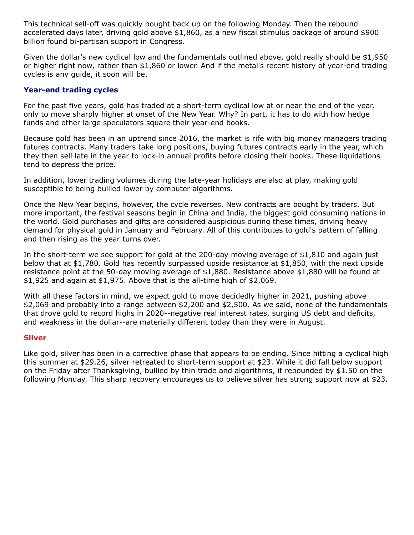This technical sell-off was quickly bought back up on the following Monday. Then the rebound accelerated days later, driving gold above \$1,860, as a new fiscal stimulus package of around \$900 billion found bi-partisan support in Congress.

Given the dollar's new cyclical low and the fundamentals outlined above, gold really should be \$1,950 or higher right now, rather than \$1,860 or lower. And if the metal's recent history of year-end trading cycles is any guide, it soon will be.

#### **Year-end trading cycles**

For the past five years, gold has traded at a short-term cyclical low at or near the end of the year, only to move sharply higher at onset of the New Year. Why? In part, it has to do with how hedge funds and other large speculators square their year-end books.

Because gold has been in an uptrend since 2016, the market is rife with big money managers trading futures contracts. Many traders take long positions, buying futures contracts early in the year, which they then sell late in the year to lock-in annual profits before closing their books. These liquidations tend to depress the price.

In addition, lower trading volumes during the late-year holidays are also at play, making gold susceptible to being bullied lower by computer algorithms.

Once the New Year begins, however, the cycle reverses. New contracts are bought by traders. But more important, the festival seasons begin in China and India, the biggest gold consuming nations in the world. Gold purchases and gifts are considered auspicious during these times, driving heavy demand for physical gold in January and February. All of this contributes to gold's pattern of falling and then rising as the year turns over.

In the short-term we see support for gold at the 200-day moving average of \$1,810 and again just below that at \$1,780. Gold has recently surpassed upside resistance at \$1,850, with the next upside resistance point at the 50-day moving average of \$1,880. Resistance above \$1,880 will be found at \$1,925 and again at \$1,975. Above that is the all-time high of \$2,069.

With all these factors in mind, we expect gold to move decidedly higher in 2021, pushing above \$2,069 and probably into a range between \$2,200 and \$2,500. As we said, none of the fundamentals that drove gold to record highs in 2020--negative real interest rates, surging US debt and deficits, and weakness in the dollar--are materially different today than they were in August.

#### **Silver**

Like gold, silver has been in a corrective phase that appears to be ending. Since hitting a cyclical high this summer at \$29.26, silver retreated to short-term support at \$23. While it did fall below support on the Friday after Thanksgiving, bullied by thin trade and algorithms, it rebounded by \$1.50 on the following Monday. This sharp recovery encourages us to believe silver has strong support now at \$23.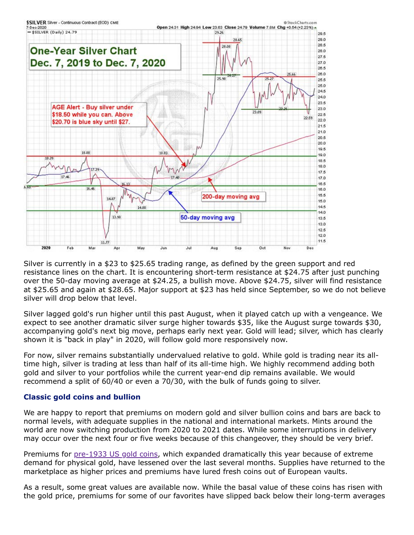

Silver is currently in a \$23 to \$25.65 trading range, as defined by the green support and red resistance lines on the chart. It is encountering short-term resistance at \$24.75 after just punching over the 50-day moving average at \$24.25, a bullish move. Above \$24.75, silver will find resistance at \$25.65 and again at \$28.65. Major support at \$23 has held since September, so we do not believe silver will drop below that level.

Silver lagged gold's run higher until this past August, when it played catch up with a vengeance. We expect to see another dramatic silver surge higher towards \$35, like the August surge towards \$30, accompanying gold's next big move, perhaps early next year. Gold will lead; silver, which has clearly shown it is "back in play" in 2020, will follow gold more responsively now.

For now, silver remains substantially undervalued relative to gold. While gold is trading near its alltime high, silver is trading at less than half of its all-time high. We highly recommend adding both gold and silver to your portfolios while the current year-end dip remains available. We would recommend a split of 60/40 or even a 70/30, with the bulk of funds going to silver.

# **Classic gold coins and bullion**

We are happy to report that premiums on modern gold and silver bullion coins and bars are back to normal levels, with adequate supplies in the national and international markets. Mints around the world are now switching production from 2020 to 2021 dates. While some interruptions in delivery may occur over the next four or five weeks because of this changeover, they should be very brief.

Premiums for [pre-1933 US gold coins](https://www.amergold.com/gold/pre-1933-u-s-gold-coins/index.php), which expanded dramatically this year because of extreme demand for physical gold, have lessened over the last several months. Supplies have returned to the marketplace as higher prices and premiums have lured fresh coins out of European vaults.

As a result, some great values are available now. While the basal value of these coins has risen with the gold price, premiums for some of our favorites have slipped back below their long-term averages